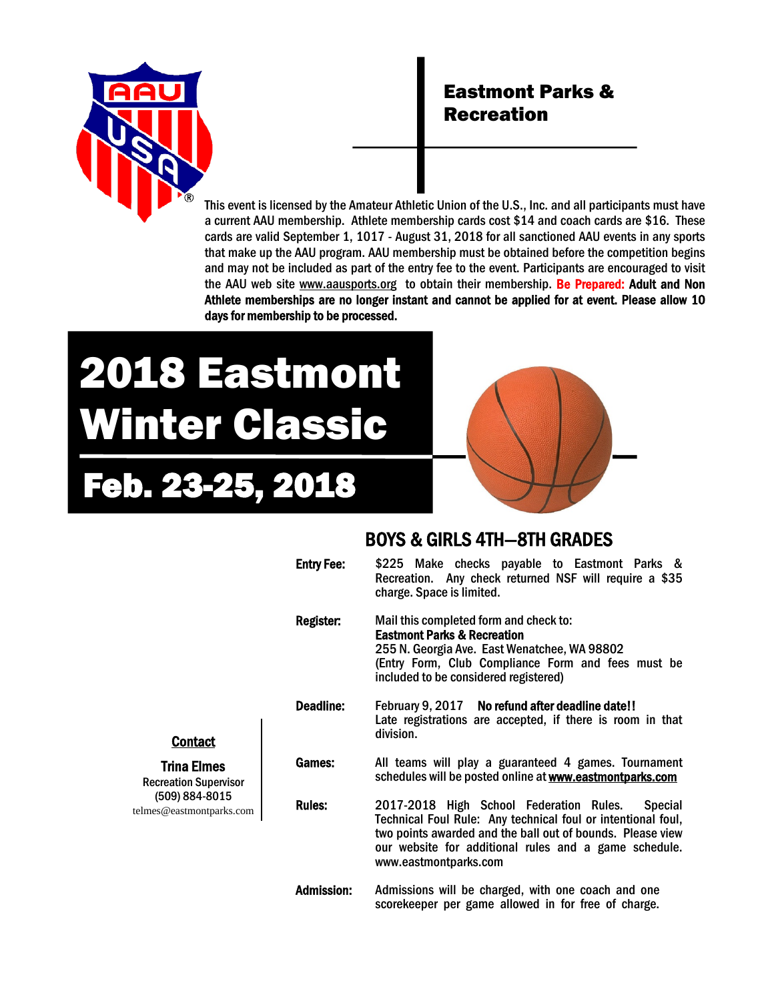

## Eastmont Parks & Recreation

This event is licensed by the Amateur Athletic Union of the U.S., Inc. and all participants must have a current AAU membership. Athlete membership cards cost \$14 and coach cards are \$16. These cards are valid September 1, 1017 - August 31, 2018 for all sanctioned AAU events in any sports that make up the AAU program. AAU membership must be obtained before the competition begins and may not be included as part of the entry fee to the event. Participants are encouraged to visit the AAU web site www.aausports.org to obtain their membership. Be Prepared: Adult and Non Athlete memberships are no longer instant and cannot be applied for at event. Please allow 10 days for membership to be processed.

# 2018 Eastmont Winter Classic

# Feb. 23-25, 2018



#### BOYS & GIRLS 4TH—8TH GRADES

|                                                        | <b>Entry Fee:</b> | \$225 Make checks payable to Eastmont Parks &<br>Recreation. Any check returned NSF will require a \$35<br>charge. Space is limited.                                                                                                                                      |  |  |  |
|--------------------------------------------------------|-------------------|---------------------------------------------------------------------------------------------------------------------------------------------------------------------------------------------------------------------------------------------------------------------------|--|--|--|
|                                                        | Register:         | Mail this completed form and check to:<br><b>Eastmont Parks &amp; Recreation</b><br>255 N. Georgia Ave. East Wenatchee, WA 98802<br>(Entry Form, Club Compliance Form and fees must be<br>included to be considered registered)                                           |  |  |  |
| <u>ict</u><br>mes<br>upervisor<br>-8015<br>ntparks.com | Deadline:         | February 9, 2017 No refund after deadline date!!<br>Late registrations are accepted, if there is room in that<br>division.                                                                                                                                                |  |  |  |
|                                                        | <b>Games:</b>     | All teams will play a guaranteed 4 games. Tournament<br>schedules will be posted online at <b>www.eastmontparks.com</b>                                                                                                                                                   |  |  |  |
|                                                        | <b>Rules:</b>     | 2017-2018 High School Federation Rules.<br><b>Special</b><br>Technical Foul Rule: Any technical foul or intentional foul,<br>two points awarded and the ball out of bounds. Please view<br>our website for additional rules and a game schedule.<br>www.eastmontparks.com |  |  |  |
|                                                        | <b>Admission:</b> | Admissions will be charged, with one coach and one<br>scorekeeper per game allowed in for free of charge.                                                                                                                                                                 |  |  |  |

#### Conta

**Trina Eli Recreation Super** 

(509) 884 telmes@eastmon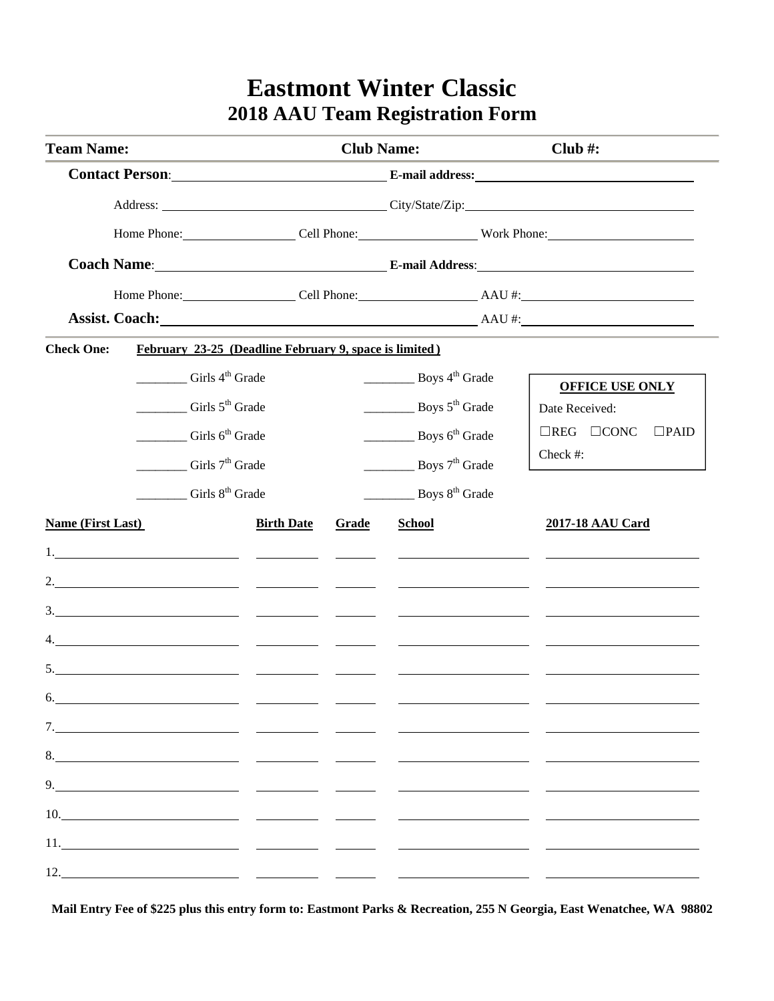# **Eastmont Winter Classic 2018 AAU Team Registration Form**

| <b>Team Name:</b>                                                                                                                                                                                                                                                                                                                                                                                                               |                   | <b>Club Name:</b>                                                                                              |                                                                                                                                                                                                                                      | Club#:                                                                                        |  |  |
|---------------------------------------------------------------------------------------------------------------------------------------------------------------------------------------------------------------------------------------------------------------------------------------------------------------------------------------------------------------------------------------------------------------------------------|-------------------|----------------------------------------------------------------------------------------------------------------|--------------------------------------------------------------------------------------------------------------------------------------------------------------------------------------------------------------------------------------|-----------------------------------------------------------------------------------------------|--|--|
|                                                                                                                                                                                                                                                                                                                                                                                                                                 |                   |                                                                                                                |                                                                                                                                                                                                                                      | Contact Person: E-mail address: E-mail address:                                               |  |  |
|                                                                                                                                                                                                                                                                                                                                                                                                                                 |                   |                                                                                                                |                                                                                                                                                                                                                                      | Address: City/State/Zip: City/State/Zip:                                                      |  |  |
|                                                                                                                                                                                                                                                                                                                                                                                                                                 |                   | Home Phone: Cell Phone: Work Phone: Work Phone:                                                                |                                                                                                                                                                                                                                      |                                                                                               |  |  |
|                                                                                                                                                                                                                                                                                                                                                                                                                                 |                   | Coach Name: Coach Name: Coach Name: Coach Name: Coach Name: Coach Name: Coach Name: Coach Name: Coach Name: Co |                                                                                                                                                                                                                                      |                                                                                               |  |  |
|                                                                                                                                                                                                                                                                                                                                                                                                                                 |                   | Home Phone: Cell Phone: Cell Phone: AAU #:                                                                     |                                                                                                                                                                                                                                      |                                                                                               |  |  |
|                                                                                                                                                                                                                                                                                                                                                                                                                                 |                   |                                                                                                                |                                                                                                                                                                                                                                      | Assist. Coach: Assist. Coach:                                                                 |  |  |
| <b>Check One:</b><br>February 23-25 (Deadline February 9, space is limited)                                                                                                                                                                                                                                                                                                                                                     |                   |                                                                                                                |                                                                                                                                                                                                                                      |                                                                                               |  |  |
| Girls 4 <sup>th</sup> Grade<br>Girls $5th$ Grade<br>Girls $6th$ Grade<br>Girls $7th$ Grade<br>Girls 8 <sup>th</sup> Grade                                                                                                                                                                                                                                                                                                       |                   |                                                                                                                | $\frac{1}{2}$ Boys 4 <sup>th</sup> Grade<br>Boys $5th$ Grade<br>$\frac{1}{2}$ Boys 6 <sup>th</sup> Grade<br>Boys $7th$ Grade<br>$\frac{1}{2}$ Boys 8 <sup>th</sup> Grade                                                             | <b>OFFICE USE ONLY</b><br>Date Received:<br>$\Box$ REG $\Box$ CONC<br>$\Box$ PAID<br>Check #: |  |  |
| <b>Name (First Last)</b>                                                                                                                                                                                                                                                                                                                                                                                                        | <b>Birth Date</b> | <b>Grade</b>                                                                                                   | <b>School</b>                                                                                                                                                                                                                        | 2017-18 AAU Card                                                                              |  |  |
|                                                                                                                                                                                                                                                                                                                                                                                                                                 |                   |                                                                                                                | <u> De la Carlo de la Carlo de la Carlo de la Carlo de la Carlo de la Carlo de la Carlo de la Carlo de la Carlo de la Carlo de la Carlo de la Carlo de la Carlo de la Carlo de la Carlo de la Carlo de la Carlo de la Carlo de l</u> |                                                                                               |  |  |
|                                                                                                                                                                                                                                                                                                                                                                                                                                 |                   |                                                                                                                |                                                                                                                                                                                                                                      |                                                                                               |  |  |
| 3. $\frac{1}{2}$ $\frac{1}{2}$ $\frac{1}{2}$ $\frac{1}{2}$ $\frac{1}{2}$ $\frac{1}{2}$ $\frac{1}{2}$ $\frac{1}{2}$ $\frac{1}{2}$ $\frac{1}{2}$ $\frac{1}{2}$ $\frac{1}{2}$ $\frac{1}{2}$ $\frac{1}{2}$ $\frac{1}{2}$ $\frac{1}{2}$ $\frac{1}{2}$ $\frac{1}{2}$ $\frac{1}{2}$ $\frac{1}{2}$ $\frac{1}{2}$ $\frac{1}{2}$                                                                                                          |                   |                                                                                                                |                                                                                                                                                                                                                                      |                                                                                               |  |  |
|                                                                                                                                                                                                                                                                                                                                                                                                                                 |                   |                                                                                                                |                                                                                                                                                                                                                                      |                                                                                               |  |  |
| 5.                                                                                                                                                                                                                                                                                                                                                                                                                              |                   |                                                                                                                |                                                                                                                                                                                                                                      |                                                                                               |  |  |
| 6.                                                                                                                                                                                                                                                                                                                                                                                                                              |                   |                                                                                                                |                                                                                                                                                                                                                                      |                                                                                               |  |  |
|                                                                                                                                                                                                                                                                                                                                                                                                                                 |                   |                                                                                                                |                                                                                                                                                                                                                                      |                                                                                               |  |  |
| 8.                                                                                                                                                                                                                                                                                                                                                                                                                              |                   |                                                                                                                |                                                                                                                                                                                                                                      |                                                                                               |  |  |
| $9. \qquad \qquad 9. \qquad \qquad 1. \qquad \qquad 1. \qquad \qquad 1. \qquad \qquad 1. \qquad \qquad 1. \qquad \qquad 1. \qquad \qquad 1. \qquad \qquad 1. \qquad \qquad 1. \qquad \qquad 1. \qquad \qquad 1. \qquad \qquad 1. \qquad \qquad 1. \qquad \qquad 1. \qquad \qquad 1. \qquad \qquad 1. \qquad \qquad 1. \qquad \qquad 1. \qquad \qquad 1. \qquad \qquad 1. \qquad \qquad 1. \qquad \qquad 1. \qquad \qquad 1. \q$ |                   |                                                                                                                |                                                                                                                                                                                                                                      |                                                                                               |  |  |
| 10.                                                                                                                                                                                                                                                                                                                                                                                                                             |                   |                                                                                                                |                                                                                                                                                                                                                                      |                                                                                               |  |  |
|                                                                                                                                                                                                                                                                                                                                                                                                                                 |                   |                                                                                                                |                                                                                                                                                                                                                                      |                                                                                               |  |  |
| 12. $\qquad \qquad$                                                                                                                                                                                                                                                                                                                                                                                                             |                   |                                                                                                                |                                                                                                                                                                                                                                      |                                                                                               |  |  |

**Mail Entry Fee of \$225 plus this entry form to: Eastmont Parks & Recreation, 255 N Georgia, East Wenatchee, WA 98802**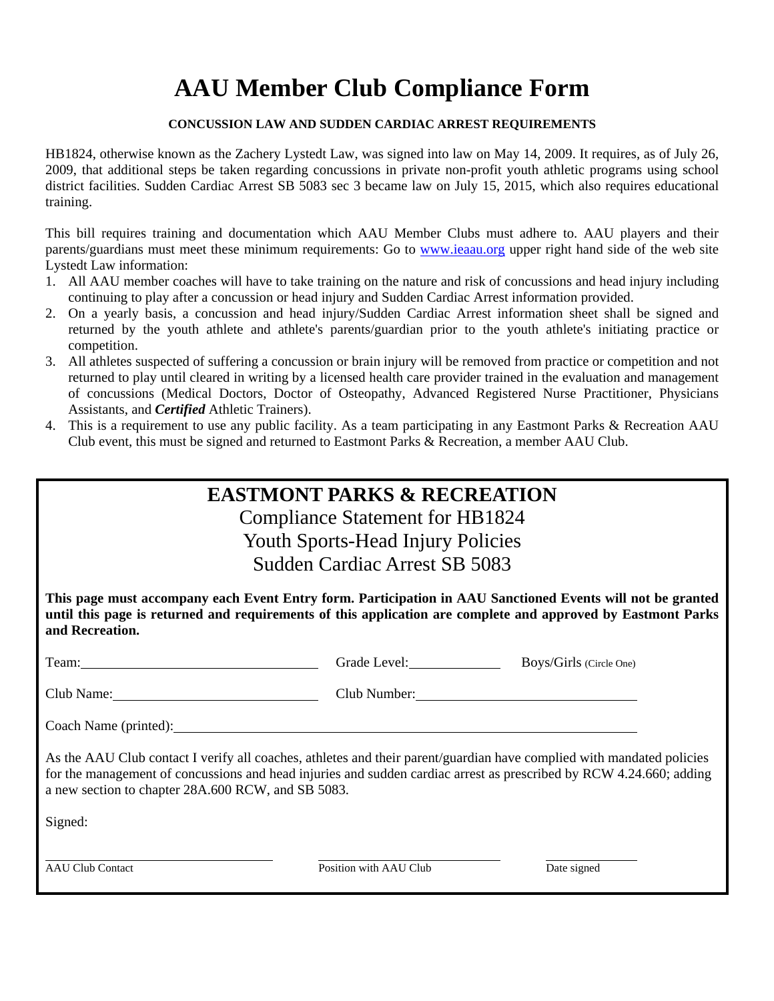# **AAU Member Club Compliance Form**

#### **CONCUSSION LAW AND SUDDEN CARDIAC ARREST REQUIREMENTS**

HB1824, otherwise known as the Zachery Lystedt Law, was signed into law on May 14, 2009. It requires, as of July 26, 2009, that additional steps be taken regarding concussions in private non-profit youth athletic programs using school district facilities. Sudden Cardiac Arrest SB 5083 sec 3 became law on July 15, 2015, which also requires educational training.

This bill requires training and documentation which AAU Member Clubs must adhere to. AAU players and their parents/guardians must meet these minimum requirements: Go to www.ieaau.org upper right hand side of the web site Lystedt Law information:

- 1. All AAU member coaches will have to take training on the nature and risk of concussions and head injury including continuing to play after a concussion or head injury and Sudden Cardiac Arrest information provided.
- 2. On a yearly basis, a concussion and head injury/Sudden Cardiac Arrest information sheet shall be signed and returned by the youth athlete and athlete's parents/guardian prior to the youth athlete's initiating practice or competition.
- 3. All athletes suspected of suffering a concussion or brain injury will be removed from practice or competition and not returned to play until cleared in writing by a licensed health care provider trained in the evaluation and management of concussions (Medical Doctors, Doctor of Osteopathy, Advanced Registered Nurse Practitioner, Physicians Assistants, and *Certified* Athletic Trainers).
- 4. This is a requirement to use any public facility. As a team participating in any Eastmont Parks & Recreation AAU Club event, this must be signed and returned to Eastmont Parks & Recreation, a member AAU Club.

|                                                                                                                                                                                                                                               | <b>EASTMONT PARKS &amp; RECREATION</b> |                                      |  |  |  |  |
|-----------------------------------------------------------------------------------------------------------------------------------------------------------------------------------------------------------------------------------------------|----------------------------------------|--------------------------------------|--|--|--|--|
| Compliance Statement for HB1824                                                                                                                                                                                                               |                                        |                                      |  |  |  |  |
| <b>Youth Sports-Head Injury Policies</b>                                                                                                                                                                                                      |                                        |                                      |  |  |  |  |
| Sudden Cardiac Arrest SB 5083                                                                                                                                                                                                                 |                                        |                                      |  |  |  |  |
| This page must accompany each Event Entry form. Participation in AAU Sanctioned Events will not be granted<br>until this page is returned and requirements of this application are complete and approved by Eastmont Parks<br>and Recreation. |                                        |                                      |  |  |  |  |
| Team: Team:                                                                                                                                                                                                                                   |                                        | Grade Level: Boys/Girls (Circle One) |  |  |  |  |
|                                                                                                                                                                                                                                               |                                        | Club Number:                         |  |  |  |  |
|                                                                                                                                                                                                                                               |                                        |                                      |  |  |  |  |
| As the AAU Club contact I verify all coaches, athletes and their parent/guardian have complied with mandated policies<br>for the management of concussions and head injuries and sudden cardiac arrest as prescribed by RCW 4.24.660; adding  |                                        |                                      |  |  |  |  |

Signed:

l

a new section to chapter 28A.600 RCW, and SB 5083.

AAU Club Contact **Position With AAU Club** Date signed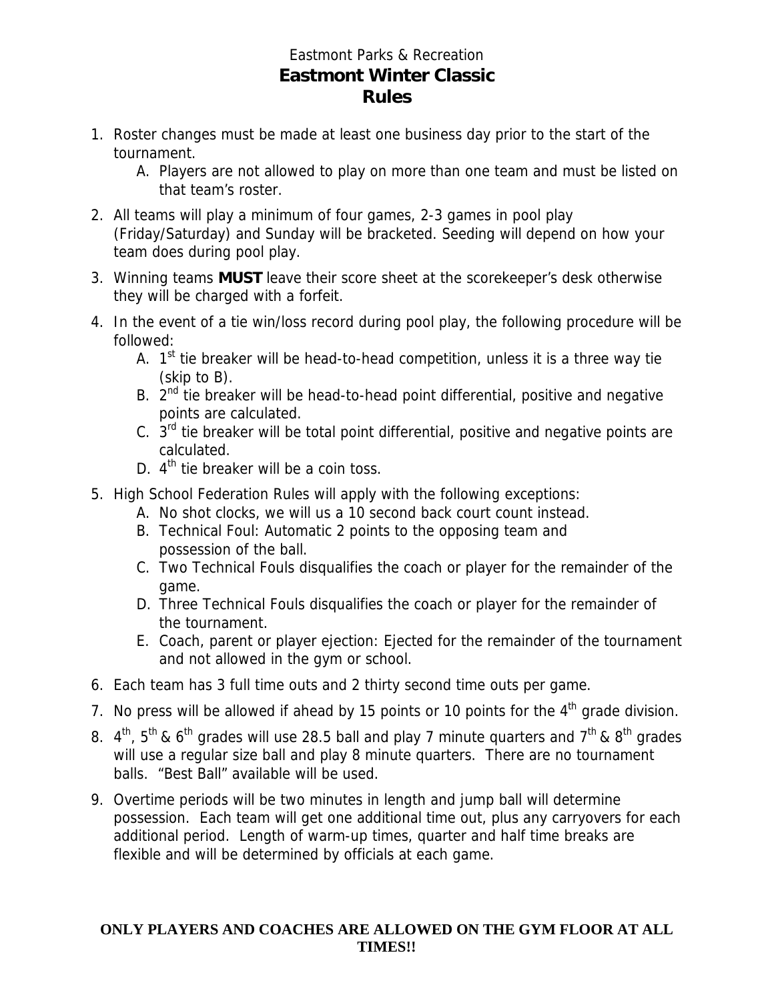#### Eastmont Parks & Recreation **Eastmont Winter Classic Rules**

- 1. Roster changes must be made at least one business day prior to the start of the tournament.
	- A. Players are not allowed to play on more than one team and must be listed on that team's roster.
- 2. All teams will play a minimum of four games, 2-3 games in pool play (Friday/Saturday) and Sunday will be bracketed. Seeding will depend on how your team does during pool play.
- 3. Winning teams **MUST** leave their score sheet at the scorekeeper's desk otherwise they will be charged with a forfeit.
- 4. In the event of a tie win/loss record during pool play, the following procedure will be followed:
	- A.  $1<sup>st</sup>$  tie breaker will be head-to-head competition, unless it is a three way tie (skip to B).
	- B.  $2^{nd}$  tie breaker will be head-to-head point differential, positive and negative points are calculated.
	- C.  $3<sup>rd</sup>$  tie breaker will be total point differential, positive and negative points are calculated.
	- D.  $4<sup>th</sup>$  tie breaker will be a coin toss.
- 5. High School Federation Rules will apply with the following exceptions:
	- A. No shot clocks, we will us a 10 second back court count instead.
	- B. Technical Foul: Automatic 2 points to the opposing team and possession of the ball.
	- C. Two Technical Fouls disqualifies the coach or player for the remainder of the game.
	- D. Three Technical Fouls disqualifies the coach or player for the remainder of the tournament.
	- E. Coach, parent or player ejection: Ejected for the remainder of the tournament and not allowed in the gym or school.
- 6. Each team has 3 full time outs and 2 thirty second time outs per game.
- 7. No press will be allowed if ahead by 15 points or 10 points for the  $4<sup>th</sup>$  grade division.
- 8.  $4^{th}$ ,  $5^{th}$  & 6<sup>th</sup> grades will use 28.5 ball and play 7 minute guarters and  $7^{th}$  & 8<sup>th</sup> grades will use a regular size ball and play 8 minute quarters. There are no tournament balls. "Best Ball" available will be used.
- 9. Overtime periods will be two minutes in length and jump ball will determine possession. Each team will get one additional time out, plus any carryovers for each additional period. Length of warm-up times, quarter and half time breaks are flexible and will be determined by officials at each game.

#### **ONLY PLAYERS AND COACHES ARE ALLOWED ON THE GYM FLOOR AT ALL TIMES!!**